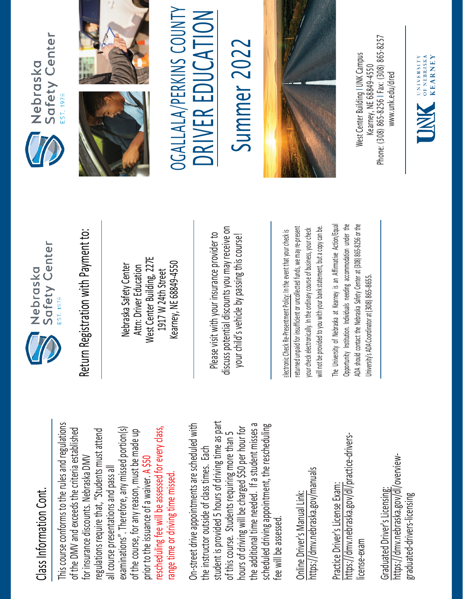## Class Information Cont. Class Information Cont.

This course conforms to the rules and regulations This course conforms to the rules and regulations rescheduling fee will be assessed for every class, examinations". Therefore, any missed portion(s) of the DMV and exceeds the criteria established regulations require that, "Students must attend of the DMV and exceeds the criteria established examinations". Therefore, any missed portion(s) of the course, for any reason, must be made up rescheduling fee will be assessed for every class, regulations require that, "Students must attend of the course, for any reason, must be made up for insurance discounts. Nebraska DMV for insurance discounts. Nebraska DMV prior to the issuance of a waiver. A \$50 all course presentations and pass all all course presentations and pass all range time or driving time missed. prior to the issuance of a waiver. range time or driving time missed

student is provided 5 hours of driving time as part On-street drive appointments are scheduled with student is provided 5 hours of driving time as part the additional time needed. If a student misses a scheduled driving appointment, the rescheduling the additional time needed. If a student misses a On-street drive appointments are scheduled with hours of driving will be charged \$50 per hour for hours of driving will be charged \$50 per hour for scheduled driving appointment, the rescheduling of this course. Students requiring more than 5 of this course. Students requiring more than 5 the instructor outside of class times. Each the instructor outside of class times. Each fee will be assessed. fee will be assessec

https://dmv.nebraska.gov/manuals https://dmv.nebraska.gov/manuals Online Driver's Manual Link: Online Driver's Manual Link:

https://dmv.nebraska.gov/dl/practice-drivershttps://dmv.nebraska.gov/dl/practice-drivers-Practice Driver's License Exam: Practice Driver's License Exam: license-exam icense-exam

https://dmv.nebraska.gov/dl/overviewhttps://dmv.nebraska.gov/dl/overview-Graduated Driver's Licensing: Graduated Driver's Licensing: graduated-drivers-licensing graduated-drivers-licensing



Nebraska Safety Center Attn: Driver Education West Center Building, 227E 1917 W 24th Street Kearney, NE 68849-4550

Please visit with your insurance provider to discuss potential discounts you may receive on potential discounts you may receive on your child's vehicle by passing this course! Return Registration with Payment to:<br>
Nebraska Safety Center<br>
Attn: Driver Education<br>
1917 W 24th Street<br>
Rearney, NE 68849-4550<br>
Rease visit with your insurance provider to<br>
Please visit with your insurance provider to<br>
y

returned unpaid for insufficient or uncollected funds, we may re-present a copy can be. returned unpaid for insufficient or uncollected funds, we may re-present will not be provided to you with your bank statement, but a copy can be. your check electronically. In the ordinary course of business, your check your check electronically. In the ordinary course of business, your check will not be provided to you with your bank statement, but

The University of Nebraska at Kearney is an Affirmative Action/Equal The University of Nebraska at Kearney is an Affirmative Action/Equal Opportunity Institution. Individuals needing accommodation under the ADA should contact the Nebraska Safety Center at (308) 865-8256 or the Opportunity Institution. Individuals needing accommodation under the ADA should contact the Nebraska Safety Center at (308) 865-8256 or the Jniversity's ADA Coordinator at (308) 865-8655. University's ADA Coordinator at (308) 86







OGALLALA/PERKINS COUNTY DRIVER EDUCATION

Summer 202 Summer 2022



Phone: (308) 865-8256 | Fax: (308) 865-8257 West Center Building I UNK Campus **Nest Center Building I UNK Campus** -8256 I Fax: (308) 865 Kearney, NE 68849-4550 www.unk.edu/dred [www.unk.edu/dred](http://www.unk.edu/dred) Kearney, NE 68849 Phone: (308) 865

UNIVERSITY<br>
OF NEBRASKA<br>
KFARNEY

**KEARNEY**